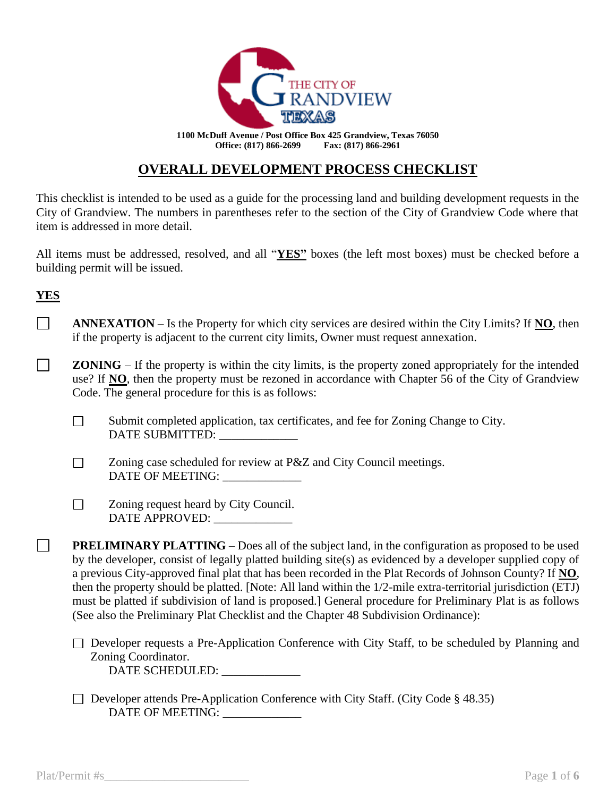

**1100 McDuff Avenue / Post Office Box 425 Grandview, Texas 76050 Office: (817) 866-2699 Fax: (817) 866-2961**

## **OVERALL DEVELOPMENT PROCESS CHECKLIST**

This checklist is intended to be used as a guide for the processing land and building development requests in the City of Grandview. The numbers in parentheses refer to the section of the City of Grandview Code where that item is addressed in more detail.

All items must be addressed, resolved, and all "**YES"** boxes (the left most boxes) must be checked before a building permit will be issued.

## **YES**

 $\mathsf{L}$ 

- $\Box$ **ANNEXATION** – Is the Property for which city services are desired within the City Limits? If **NO**, then if the property is adjacent to the current city limits, Owner must request annexation.
- **ZONING** If the property is within the city limits, is the property zoned appropriately for the intended  $\Box$ use? If **NO**, then the property must be rezoned in accordance with Chapter 56 of the City of Grandview Code. The general procedure for this is as follows:
	- Submit completed application, tax certificates, and fee for Zoning Change to City.  $\Box$ DATE SUBMITTED:
	- Zoning case scheduled for review at P&Z and City Council meetings.  $\Box$ DATE OF MEETING:
	- Zoning request heard by City Council.  $\Box$ DATE APPROVED:

**PRELIMINARY PLATTING** – Does all of the subject land, in the configuration as proposed to be used by the developer, consist of legally platted building site(s) as evidenced by a developer supplied copy of a previous City-approved final plat that has been recorded in the Plat Records of Johnson County? If **NO**, then the property should be platted. [Note: All land within the 1/2-mile extra-territorial jurisdiction (ETJ) must be platted if subdivision of land is proposed.] General procedure for Preliminary Plat is as follows (See also the Preliminary Plat Checklist and the Chapter 48 Subdivision Ordinance):

□ Developer requests a Pre-Application Conference with City Staff, to be scheduled by Planning and Zoning Coordinator. DATE SCHEDULED:

 $\Box$  Developer attends Pre-Application Conference with City Staff. (City Code § 48.35) DATE OF MEETING: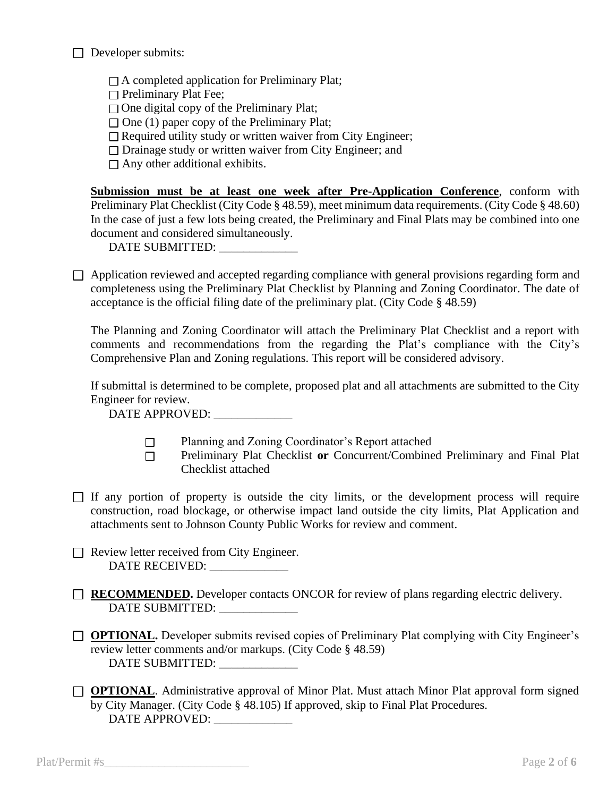#### $\Box$  Developer submits:

 $\Box$  A completed application for Preliminary Plat;

 $\Box$  Preliminary Plat Fee;

 $\Box$  One digital copy of the Preliminary Plat;

 $\Box$  One (1) paper copy of the Preliminary Plat;

 $\Box$  Required utility study or written waiver from City Engineer;

 $\Box$  Drainage study or written waiver from City Engineer; and

 $\Box$  Any other additional exhibits.

**Submission must be at least one week after Pre-Application Conference**, conform with Preliminary Plat Checklist (City Code § 48.59), meet minimum data requirements. (City Code § 48.60) In the case of just a few lots being created, the Preliminary and Final Plats may be combined into one document and considered simultaneously.

DATE SUBMITTED: \_\_\_\_\_\_\_\_\_\_\_\_\_

 $\Box$  Application reviewed and accepted regarding compliance with general provisions regarding form and completeness using the Preliminary Plat Checklist by Planning and Zoning Coordinator. The date of acceptance is the official filing date of the preliminary plat. (City Code § 48.59)

The Planning and Zoning Coordinator will attach the Preliminary Plat Checklist and a report with comments and recommendations from the regarding the Plat's compliance with the City's Comprehensive Plan and Zoning regulations. This report will be considered advisory.

If submittal is determined to be complete, proposed plat and all attachments are submitted to the City Engineer for review.

DATE APPROVED:

- Planning and Zoning Coordinator's Report attached  $\Box$
- Preliminary Plat Checklist **or** Concurrent/Combined Preliminary and Final Plat  $\Box$ Checklist attached
- $\Box$  If any portion of property is outside the city limits, or the development process will require construction, road blockage, or otherwise impact land outside the city limits, Plat Application and attachments sent to Johnson County Public Works for review and comment.
- $\Box$  Review letter received from City Engineer. DATE RECEIVED:
- **RECOMMENDED.** Developer contacts ONCOR for review of plans regarding electric delivery. DATE SUBMITTED:
- **OPTIONAL.** Developer submits revised copies of Preliminary Plat complying with City Engineer's review letter comments and/or markups. (City Code § 48.59) DATE SUBMITTED:
- **OPTIONAL.** Administrative approval of Minor Plat. Must attach Minor Plat approval form signed by City Manager. (City Code § 48.105) If approved, skip to Final Plat Procedures. DATE APPROVED: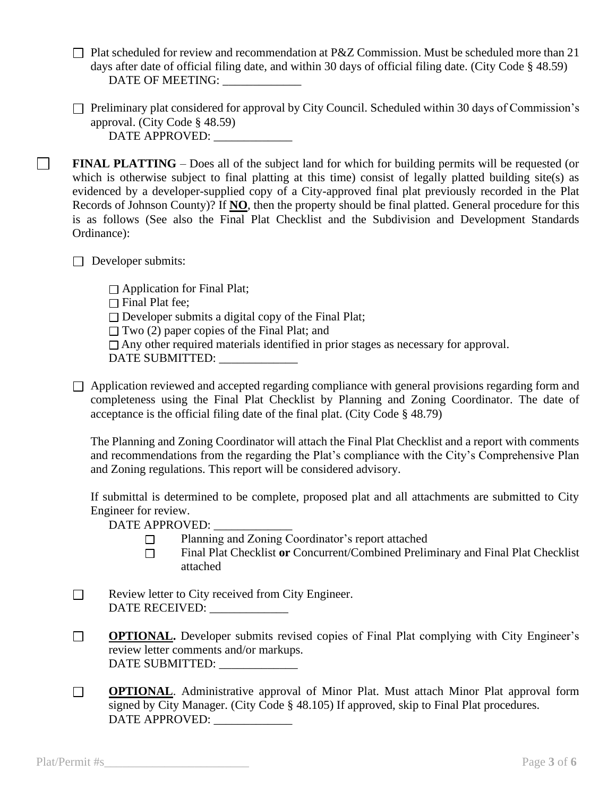- $\Box$  Plat scheduled for review and recommendation at P&Z Commission. Must be scheduled more than 21 days after date of official filing date, and within 30 days of official filing date. (City Code § 48.59) DATE OF MEETING: \_\_\_\_\_\_\_\_\_\_\_\_\_\_
- $\Box$  Preliminary plat considered for approval by City Council. Scheduled within 30 days of Commission's approval. (City Code § 48.59) DATE APPROVED: \_\_\_\_\_\_\_\_\_\_\_\_\_
- **FINAL PLATTING** Does all of the subject land for which for building permits will be requested (or which is otherwise subject to final platting at this time) consist of legally platted building site(s) as evidenced by a developer-supplied copy of a City-approved final plat previously recorded in the Plat Records of Johnson County)? If **NO**, then the property should be final platted. General procedure for this is as follows (See also the Final Plat Checklist and the Subdivision and Development Standards Ordinance):

 $\Box$  Developer submits:

 $\Box$ 

 $\Box$  Application for Final Plat;

 $\Box$  Final Plat fee:

 $\Box$  Developer submits a digital copy of the Final Plat;

 $\Box$  Two (2) paper copies of the Final Plat; and

 $\Box$  Any other required materials identified in prior stages as necessary for approval.

DATE SUBMITTED: \_\_\_\_\_\_\_\_\_\_\_\_\_\_

 $\Box$  Application reviewed and accepted regarding compliance with general provisions regarding form and completeness using the Final Plat Checklist by Planning and Zoning Coordinator. The date of acceptance is the official filing date of the final plat. (City Code § 48.79)

The Planning and Zoning Coordinator will attach the Final Plat Checklist and a report with comments and recommendations from the regarding the Plat's compliance with the City's Comprehensive Plan and Zoning regulations. This report will be considered advisory.

If submittal is determined to be complete, proposed plat and all attachments are submitted to City Engineer for review.

DATE APPROVED:

- Planning and Zoning Coordinator's report attached  $\Box$
- Final Plat Checklist **or** Concurrent/Combined Preliminary and Final Plat Checklist  $\Box$ attached
- $\Box$ Review letter to City received from City Engineer. DATE RECEIVED: \_\_\_\_\_\_\_\_\_\_\_\_\_\_
- **OPTIONAL.** Developer submits revised copies of Final Plat complying with City Engineer's  $\Box$ review letter comments and/or markups. DATE SUBMITTED: \_\_\_\_\_\_\_\_\_\_\_\_\_
- $\Box$ **OPTIONAL.** Administrative approval of Minor Plat. Must attach Minor Plat approval form signed by City Manager. (City Code § 48.105) If approved, skip to Final Plat procedures. DATE APPROVED: \_\_\_\_\_\_\_\_\_\_\_\_\_

Plat/Permit #s\_\_\_\_\_\_\_\_\_\_\_\_\_\_\_\_\_\_\_\_\_\_\_\_ Page **3** of **6**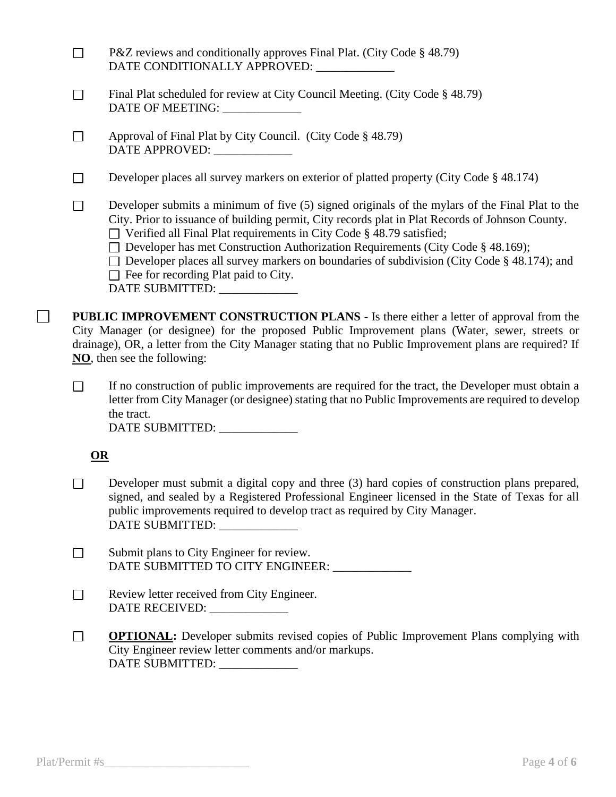|                                                                                                                                                                                                                                                                                                                                          | P&Z reviews and conditionally approves Final Plat. (City Code § 48.79)<br>DATE CONDITIONALLY APPROVED: ____________                                                                                                                                                                                                                                                                                                                                                                                                                                                |  |
|------------------------------------------------------------------------------------------------------------------------------------------------------------------------------------------------------------------------------------------------------------------------------------------------------------------------------------------|--------------------------------------------------------------------------------------------------------------------------------------------------------------------------------------------------------------------------------------------------------------------------------------------------------------------------------------------------------------------------------------------------------------------------------------------------------------------------------------------------------------------------------------------------------------------|--|
| $\Box$                                                                                                                                                                                                                                                                                                                                   | Final Plat scheduled for review at City Council Meeting. (City Code § 48.79)<br>DATE OF MEETING: _____________                                                                                                                                                                                                                                                                                                                                                                                                                                                     |  |
| $\Box$                                                                                                                                                                                                                                                                                                                                   | Approval of Final Plat by City Council. (City Code § 48.79)<br>DATE APPROVED: _____________                                                                                                                                                                                                                                                                                                                                                                                                                                                                        |  |
| П                                                                                                                                                                                                                                                                                                                                        | Developer places all survey markers on exterior of platted property (City Code § 48.174)                                                                                                                                                                                                                                                                                                                                                                                                                                                                           |  |
| $\Box$                                                                                                                                                                                                                                                                                                                                   | Developer submits a minimum of five (5) signed originals of the mylars of the Final Plat to the<br>City. Prior to issuance of building permit, City records plat in Plat Records of Johnson County.<br>$\Box$ Verified all Final Plat requirements in City Code § 48.79 satisfied;<br>$\Box$ Developer has met Construction Authorization Requirements (City Code § 48.169);<br>$\Box$ Developer places all survey markers on boundaries of subdivision (City Code § 48.174); and<br>$\Box$ Fee for recording Plat paid to City.<br>DATE SUBMITTED: ______________ |  |
| <b>PUBLIC IMPROVEMENT CONSTRUCTION PLANS - Is there either a letter of approval from the</b><br>City Manager (or designee) for the proposed Public Improvement plans (Water, sewer, streets or<br>drainage), OR, a letter from the City Manager stating that no Public Improvement plans are required? If<br>NO, then see the following: |                                                                                                                                                                                                                                                                                                                                                                                                                                                                                                                                                                    |  |
| $\Box$                                                                                                                                                                                                                                                                                                                                   | If no construction of public improvements are required for the tract, the Developer must obtain a<br>letter from City Manager (or designee) stating that no Public Improvements are required to develop<br>the tract.<br>DATE SUBMITTED: _____________                                                                                                                                                                                                                                                                                                             |  |
| $OR$                                                                                                                                                                                                                                                                                                                                     |                                                                                                                                                                                                                                                                                                                                                                                                                                                                                                                                                                    |  |
|                                                                                                                                                                                                                                                                                                                                          | Developer must submit a digital copy and three (3) hard copies of construction plans prepared,<br>signed, and sealed by a Registered Professional Engineer licensed in the State of Texas for all<br>public improvements required to develop tract as required by City Manager.<br>DATE SUBMITTED: _____________                                                                                                                                                                                                                                                   |  |
|                                                                                                                                                                                                                                                                                                                                          | Submit plans to City Engineer for review.<br>DATE SUBMITTED TO CITY ENGINEER: ____________                                                                                                                                                                                                                                                                                                                                                                                                                                                                         |  |
| $\Box$                                                                                                                                                                                                                                                                                                                                   | Review letter received from City Engineer.<br>DATE RECEIVED: _____________                                                                                                                                                                                                                                                                                                                                                                                                                                                                                         |  |
| $\Box$                                                                                                                                                                                                                                                                                                                                   | <b>OPTIONAL:</b> Developer submits revised copies of Public Improvement Plans complying with<br>City Engineer review letter comments and/or markups.                                                                                                                                                                                                                                                                                                                                                                                                               |  |

DATE SUBMITTED: \_\_\_\_\_\_\_\_\_\_\_\_\_

 $\Box$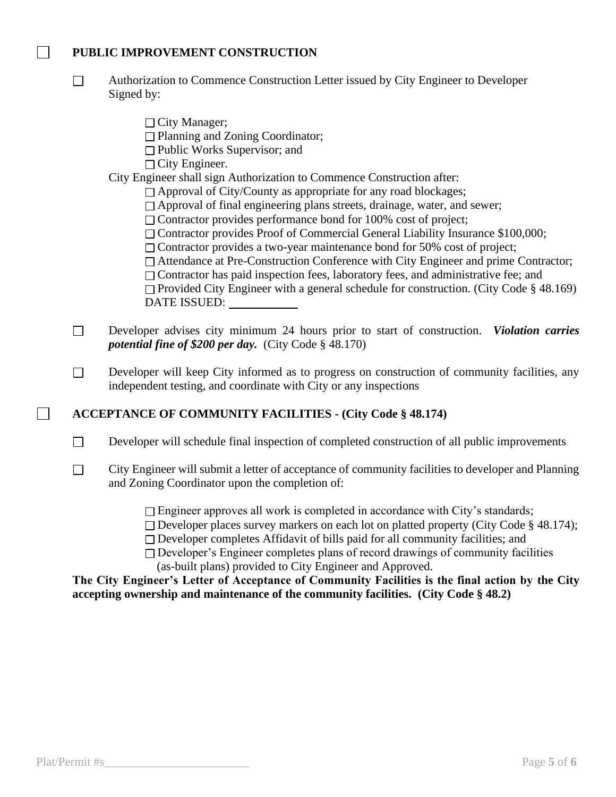### **PUBLIC IMPROVEMENT CONSTRUCTION**

 $\Box$ 

 $\Box$ 

- $\Box$ Authorization to Commence Construction Letter issued by City Engineer to Developer Signed by:
	- □ City Manager;
	- □ Planning and Zoning Coordinator;
	- □ Public Works Supervisor; and
	- $\Box$  City Engineer.
	- City Engineer shall sign Authorization to Commence Construction after:
		- □ Approval of City/County as appropriate for any road blockages;
		- $\Box$  Approval of final engineering plans streets, drainage, water, and sewer;
		- □ Contractor provides performance bond for 100% cost of project;
		- □ Contractor provides Proof of Commercial General Liability Insurance \$100,000;
		- □ Contractor provides a two-year maintenance bond for 50% cost of project;
		- □ Attendance at Pre-Construction Conference with City Engineer and prime Contractor;
		- $\Box$  Contractor has paid inspection fees, laboratory fees, and administrative fee; and
		- $\Box$  Provided City Engineer with a general schedule for construction. (City Code § 48.169) DATE ISSUED:
- $\Box$ Developer advises city minimum 24 hours prior to start of construction. *Violation carries potential fine of \$200 per day.* (City Code § 48.170)
- Developer will keep City informed as to progress on construction of community facilities, any  $\Box$ independent testing, and coordinate with City or any inspections

# **ACCEPTANCE OF COMMUNITY FACILITIES - (City Code § 48.174)**

- Developer will schedule final inspection of completed construction of all public improvements  $\Box$
- City Engineer will submit a letter of acceptance of community facilities to developer and Planning  $\Box$ and Zoning Coordinator upon the completion of:
	- $\square$  Engineer approves all work is completed in accordance with City's standards;
	- $\Box$  Developer places survey markers on each lot on platted property (City Code § 48.174);
	- Developer completes Affidavit of bills paid for all community facilities; and
	- Developer's Engineer completes plans of record drawings of community facilities (as-built plans) provided to City Engineer and Approved.

**The City Engineer's Letter of Acceptance of Community Facilities is the final action by the City accepting ownership and maintenance of the community facilities. (City Code § 48.2)**